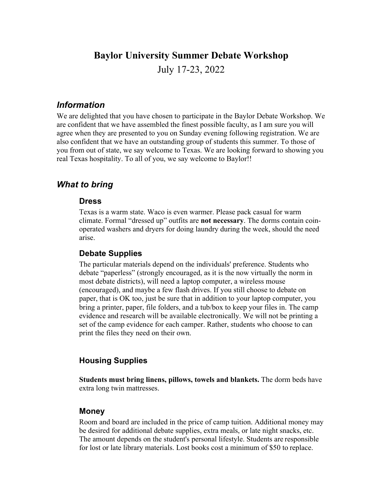### **Baylor University Summer Debate Workshop**

July 17-23, 2022

### *Information*

We are delighted that you have chosen to participate in the Baylor Debate Workshop. We are confident that we have assembled the finest possible faculty, as I am sure you will agree when they are presented to you on Sunday evening following registration. We are also confident that we have an outstanding group of students this summer. To those of you from out of state, we say welcome to Texas. We are looking forward to showing you real Texas hospitality. To all of you, we say welcome to Baylor!!

### *What to bring*

#### **Dress**

Texas is a warm state. Waco is even warmer. Please pack casual for warm climate. Formal "dressed up" outfits are **not necessary**. The dorms contain coinoperated washers and dryers for doing laundry during the week, should the need arise.

#### **Debate Supplies**

The particular materials depend on the individuals' preference. Students who debate "paperless" (strongly encouraged, as it is the now virtually the norm in most debate districts), will need a laptop computer, a wireless mouse (encouraged), and maybe a few flash drives. If you still choose to debate on paper, that is OK too, just be sure that in addition to your laptop computer, you bring a printer, paper, file folders, and a tub/box to keep your files in. The camp evidence and research will be available electronically. We will not be printing a set of the camp evidence for each camper. Rather, students who choose to can print the files they need on their own.

### **Housing Supplies**

**Students must bring linens, pillows, towels and blankets.** The dorm beds have extra long twin mattresses.

#### **Money**

Room and board are included in the price of camp tuition. Additional money may be desired for additional debate supplies, extra meals, or late night snacks, etc. The amount depends on the student's personal lifestyle. Students are responsible for lost or late library materials. Lost books cost a minimum of \$50 to replace.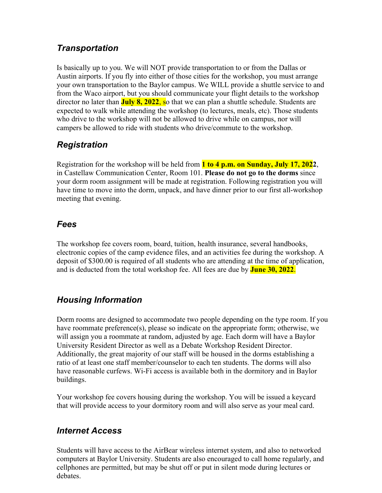## *Transportation*

Is basically up to you. We will NOT provide transportation to or from the Dallas or Austin airports. If you fly into either of those cities for the workshop, you must arrange your own transportation to the Baylor campus. We WILL provide a shuttle service to and from the Waco airport, but you should communicate your flight details to the workshop director no later than **July 8, 2022**, so that we can plan a shuttle schedule. Students are expected to walk while attending the workshop (to lectures, meals, etc). Those students who drive to the workshop will not be allowed to drive while on campus, nor will campers be allowed to ride with students who drive/commute to the workshop.

# *Registration*

Registration for the workshop will be held from **1 to 4 p.m. on Sunday, July 17, 2022**, in Castellaw Communication Center, Room 101. **Please do not go to the dorms** since your dorm room assignment will be made at registration. Following registration you will have time to move into the dorm, unpack, and have dinner prior to our first all-workshop meeting that evening.

## *Fees*

The workshop fee covers room, board, tuition, health insurance, several handbooks, electronic copies of the camp evidence files, and an activities fee during the workshop. A deposit of \$300.00 is required of all students who are attending at the time of application, and is deducted from the total workshop fee. All fees are due by **June 30, 2022**.

# *Housing Information*

Dorm rooms are designed to accommodate two people depending on the type room. If you have roommate preference(s), please so indicate on the appropriate form; otherwise, we will assign you a roommate at random, adjusted by age. Each dorm will have a Baylor University Resident Director as well as a Debate Workshop Resident Director. Additionally, the great majority of our staff will be housed in the dorms establishing a ratio of at least one staff member/counselor to each ten students. The dorms will also have reasonable curfews. Wi-Fi access is available both in the dormitory and in Baylor buildings.

Your workshop fee covers housing during the workshop. You will be issued a keycard that will provide access to your dormitory room and will also serve as your meal card.

# *Internet Access*

Students will have access to the AirBear wireless internet system, and also to networked computers at Baylor University. Students are also encouraged to call home regularly, and cellphones are permitted, but may be shut off or put in silent mode during lectures or debates.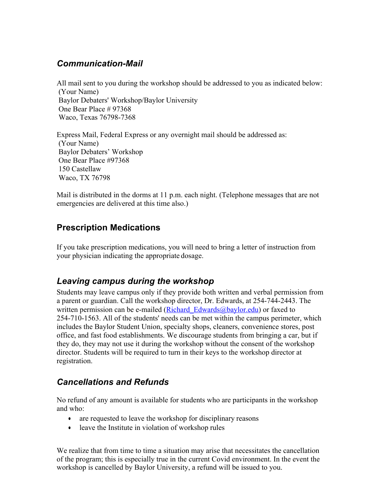# *Communication-Mail*

All mail sent to you during the workshop should be addressed to you as indicated below: (Your Name) Baylor Debaters' Workshop/Baylor University One Bear Place # 97368 Waco, Texas 76798-7368

Express Mail, Federal Express or any overnight mail should be addressed as: (Your Name) Baylor Debaters' Workshop One Bear Place #97368 150 Castellaw Waco, TX 76798

Mail is distributed in the dorms at 11 p.m. each night. (Telephone messages that are not emergencies are delivered at this time also.)

# **Prescription Medications**

If you take prescription medications, you will need to bring a letter of instruction from your physician indicating the appropriate dosage.

# *Leaving campus during the workshop*

Students may leave campus only if they provide both written and verbal permission from a parent or guardian. Call the workshop director, Dr. Edwards, at 254-744-2443. The written permission can be e-mailed (Richard Edwards@baylor.edu) or faxed to 254-710-1563. All of the students' needs can be met within the campus perimeter, which includes the Baylor Student Union, specialty shops, cleaners, convenience stores, post office, and fast food establishments. We discourage students from bringing a car, but if they do, they may not use it during the workshop without the consent of the workshop director. Students will be required to turn in their keys to the workshop director at registration.

# *Cancellations and Refunds*

No refund of any amount is available for students who are participants in the workshop and who:

- are requested to leave the workshop for disciplinary reasons
- leave the Institute in violation of workshop rules

We realize that from time to time a situation may arise that necessitates the cancellation of the program; this is especially true in the current Covid environment. In the event the workshop is cancelled by Baylor University, a refund will be issued to you.